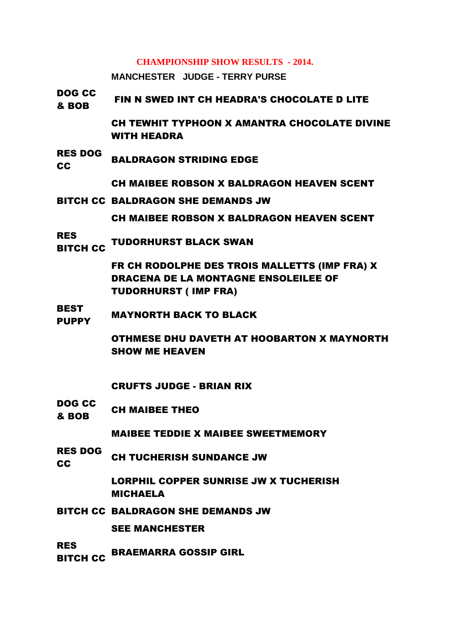## **CHAMPIONSHIP SHOW RESULTS - 2014.**

**MANCHESTER JUDGE - TERRY PURSE**

DOG CC **BOB FIN N SWED INT CH HEADRA'S CHOCOLATE D LITE** CH TEWHIT TYPHOON X AMANTRA CHOCOLATE DIVINE WITH HEADRA RES DOG REG BOU BALDRAGON STRIDING EDGE CH MAIBEE ROBSON X BALDRAGON HEAVEN SCENT BITCH CC BALDRAGON SHE DEMANDS JW CH MAIBEE ROBSON X BALDRAGON HEAVEN SCENT RES ..\_\_<br>BITCH CC TUDORHURST BLACK SWAN FR CH RODOLPHE DES TROIS MALLETTS (IMP FRA) X DRACENA DE LA MONTAGNE ENSOLEILEE OF TUDORHURST ( IMP FRA) BEST PUPPY MAYNORTH BACK TO BLACK OTHMESE DHU DAVETH AT HOOBARTON X MAYNORTH SHOW ME HEAVEN CRUFTS JUDGE - BRIAN RIX DOG CC **& BOB** CH MAIBEE THEO MAIBEE TEDDIE X MAIBEE SWEETMEMORY RES DOG **COULD THE CH TUCHERISH SUNDANCE JW** LORPHIL COPPER SUNRISE JW X TUCHERISH MICHAELA BITCH CC BALDRAGON SHE DEMANDS JW SEE MANCHESTER RES .....<br>BITCH CC BRAEMARRA GOSSIP GIRL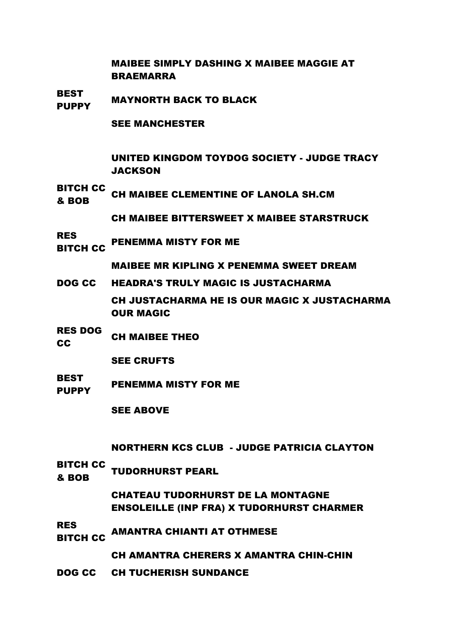MAIBEE SIMPLY DASHING X MAIBEE MAGGIE AT BRAEMARRA

BEST PUPPY MAYNORTH BACK TO BLACK

SEE MANCHESTER

UNITED KINGDOM TOYDOG SOCIETY - JUDGE TRACY **JACKSON** 

BITCH CC **ETTER CH MAIBEE CLEMENTINE OF LANOLA SH.CM** 

CH MAIBEE BITTERSWEET X MAIBEE STARSTRUCK

RES **BITCH CC PENEMMA MISTY FOR ME** 

MAIBEE MR KIPLING X PENEMMA SWEET DREAM

- DOG CC HEADRA'S TRULY MAGIC IS JUSTACHARMA CH JUSTACHARMA HE IS OUR MAGIC X JUSTACHARMA OUR MAGIC
- RES DOG CH MAIBEE THEO
	- SEE CRUFTS
- **BEST** PUPPY PENEMMA MISTY FOR ME

SEE ABOVE

NORTHERN KCS CLUB - JUDGE PATRICIA CLAYTON

BITCH CC **BOB** TUDORHURST PEARL

> CHATEAU TUDORHURST DE LA MONTAGNE ENSOLEILLE (INP FRA) X TUDORHURST CHARMER

RES ..\_<del>\_</del><br>BITCH CC AMANTRA CHIANTI AT OTHMESE

CH AMANTRA CHERERS X AMANTRA CHIN-CHIN

DOG CC CH TUCHERISH SUNDANCE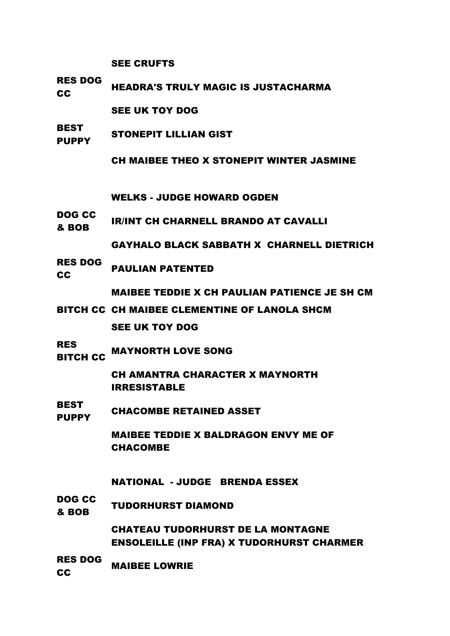SEE CRUFTS

RES DOG RES BOOM HEADRA'S TRULY MAGIC IS JUSTACHARMA

SEE UK TOY DOG

**BEST** PUPPY STONEPIT LILLIAN GIST

CH MAIBEE THEO X STONEPIT WINTER JASMINE

WELKS - JUDGE HOWARD OGDEN

DOG CC BOB IR/INT CH CHARNELL BRANDO AT CAVALLI

GAYHALO BLACK SABBATH X CHARNELL DIETRICH

RES DOG **CC** PAULIAN PATENTED

MAIBEE TEDDIE X CH PAULIAN PATIENCE JE SH CM

BITCH CC CH MAIBEE CLEMENTINE OF LANOLA SHCM

SEE UK TOY DOG

RES ..\_<del>\_</del><br>BITCH CC MAYNORTH LOVE SONG

> CH AMANTRA CHARACTER X MAYNORTH IRRESISTABLE

**BEST** PUPPY CHACOMBE RETAINED ASSET

> MAIBEE TEDDIE X BALDRAGON ENVY ME OF CHACOMBE

NATIONAL - JUDGE BRENDA ESSEX

DOG CC **ESSIME TUDORHURST DIAMOND**<br>& BOB

> CHATEAU TUDORHURST DE LA MONTAGNE ENSOLEILLE (INP FRA) X TUDORHURST CHARMER

RES DOG **CC** MAIBEE LOWRIE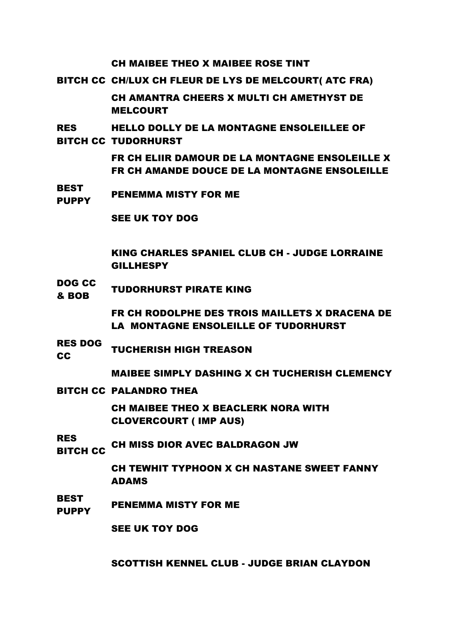CH MAIBEE THEO X MAIBEE ROSE TINT

BITCH CC CH/LUX CH FLEUR DE LYS DE MELCOURT( ATC FRA)

CH AMANTRA CHEERS X MULTI CH AMETHYST DE MELCOURT

RES BITCH CC TUDORHURST HELLO DOLLY DE LA MONTAGNE ENSOLEILLEE OF

> FR CH ELIIR DAMOUR DE LA MONTAGNE ENSOLEILLE X FR CH AMANDE DOUCE DE LA MONTAGNE ENSOLEILLE

**BEST** PUPPY PENEMMA MISTY FOR ME

SEE UK TOY DOG

KING CHARLES SPANIEL CLUB CH - JUDGE LORRAINE GILLHESPY

DOG CC **BOB TUDORHURST PIRATE KING** 

> FR CH RODOLPHE DES TROIS MAILLETS X DRACENA DE LA MONTAGNE ENSOLEILLE OF TUDORHURST

RES DOG **CC** TUCHERISH HIGH TREASON

MAIBEE SIMPLY DASHING X CH TUCHERISH CLEMENCY

BITCH CC PALANDRO THEA

CH MAIBEE THEO X BEACLERK NORA WITH CLOVERCOURT ( IMP AUS)

RES

..\_\_<br>BITCH CC CH MISS DIOR AVEC BALDRAGON JW

CH TEWHIT TYPHOON X CH NASTANE SWEET FANNY ADAMS

BEST PUPPY PENEMMA MISTY FOR ME

SEE UK TOY DOG

SCOTTISH KENNEL CLUB - JUDGE BRIAN CLAYDON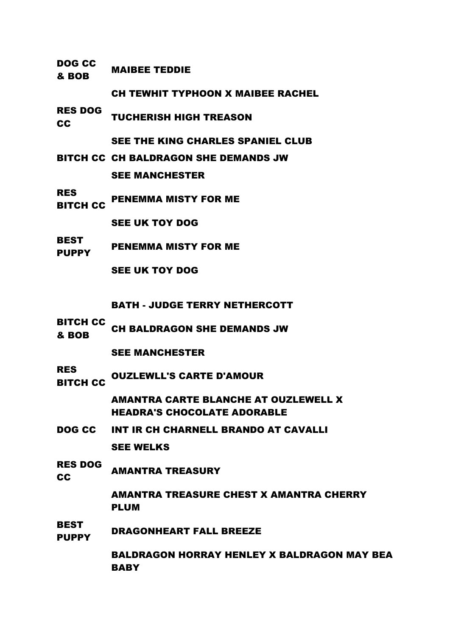| DOG CC<br>& BOB               | <b>MAIBEE TEDDIE</b>                     |
|-------------------------------|------------------------------------------|
|                               | <b>CH TEWHIT TYPHOON X MAIBEE RACHEL</b> |
| <b>RES DOG</b><br><b>CC</b>   | <b>TUCHERISH HIGH TREASON</b>            |
|                               | SEE THE KING CHARLES SPANIEL CLUB        |
|                               | BITCH CC CH BALDRAGON SHE DEMANDS JW     |
|                               | <b>SEE MANCHESTER</b>                    |
| <b>RES</b><br><b>BITCH CC</b> | <b>PENEMMA MISTY FOR ME</b>              |
|                               | <b>SEE UK TOY DOG</b>                    |
| <b>BEST</b><br><b>PUPPY</b>   | <b>PENEMMA MISTY FOR ME</b>              |
|                               | <b>SEE UK TOY DOG</b>                    |
|                               |                                          |
|                               | <b>BATH - JUDGE TERRY NETHERCOTT</b>     |
| <b>BITCH CC</b><br>& BOB      | <b>CH BALDRAGON SHE DEMANDS JW</b>       |
|                               | <b>SEE MANCHESTER</b>                    |
| <b>RES</b>                    |                                          |

..\_<del>\_</del><br>BITCH CC OUZLEWLL'S CARTE D'AMOUR

AMANTRA CARTE BLANCHE AT OUZLEWELL X HEADRA'S CHOCOLATE ADORABLE

- DOG CC INT IR CH CHARNELL BRANDO AT CAVALLI SEE WELKS
- RES DOG **CC** AMANTRA TREASURY

AMANTRA TREASURE CHEST X AMANTRA CHERRY PLUM

BEST **PUPPY** DRAGONHEART FALL BREEZE

> BALDRAGON HORRAY HENLEY X BALDRAGON MAY BEA **BABY**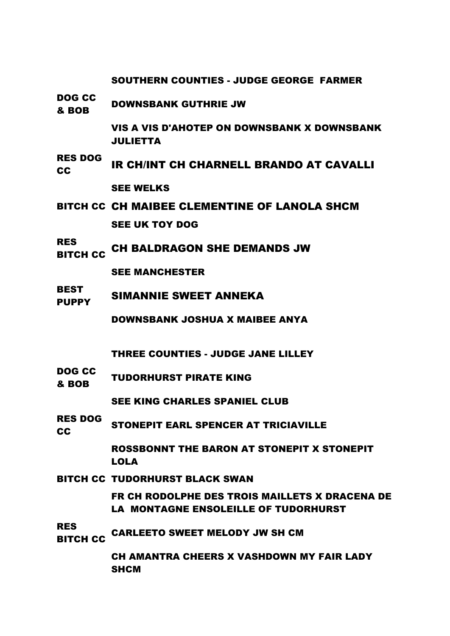SOUTHERN COUNTIES - JUDGE GEORGE FARMER

DOG CC **BOB DOWNSBANK GUTHRIE JW** 

> VIS A VIS D'AHOTEP ON DOWNSBANK X DOWNSBANK JULIETTA

- RES DOG THE CHARNELL BRANDO AT CAVALLING SEE WELKS
- BITCH CC CH MAIBEE CLEMENTINE OF LANOLA SHCM SEE UK TOY DOG
- RES  $\frac{11}{110}$  CH BALDRAGON SHE DEMANDS JW

SEE MANCHESTER

**BEST** PUPPY SIMANNIE SWEET ANNEKA

DOWNSBANK JOSHUA X MAIBEE ANYA

THREE COUNTIES - JUDGE JANE LILLEY

DOG CC **BOB TUDORHURST PIRATE KING** 

SEE KING CHARLES SPANIEL CLUB

RES DOG **CC STONEPIT EARL SPENCER AT TRICIAVILLE** 

> ROSSBONNT THE BARON AT STONEPIT X STONEPIT LOLA

BITCH CC TUDORHURST BLACK SWAN

FR CH RODOLPHE DES TROIS MAILLETS X DRACENA DE LA MONTAGNE ENSOLEILLE OF TUDORHURST

RES

..\_\_<br>BITCH CC CARLEETO SWEET MELODY JW SH CM

CH AMANTRA CHEERS X VASHDOWN MY FAIR LADY **SHCM**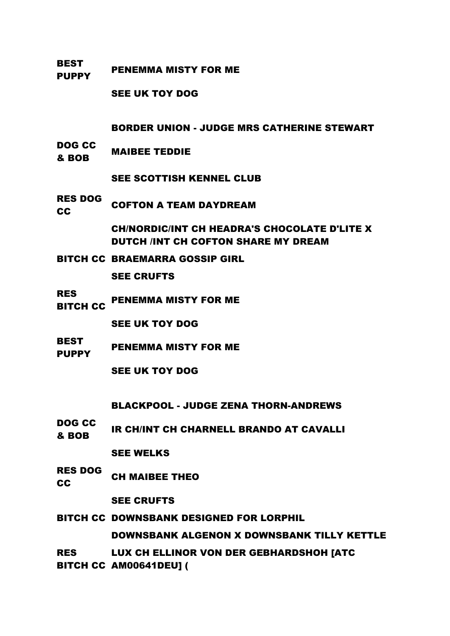BEST PUPPY PENEMMA MISTY FOR ME

SEE UK TOY DOG

BORDER UNION - JUDGE MRS CATHERINE STEWART

DOG CC **BOB MAIBEE TEDDIE** 

SEE SCOTTISH KENNEL CLUB

RES DOG **CC** COFTON A TEAM DAYDREAM

> CH/NORDIC/INT CH HEADRA'S CHOCOLATE D'LITE X DUTCH /INT CH COFTON SHARE MY DREAM

BITCH CC BRAEMARRA GOSSIP GIRL

SEE CRUFTS

RES

.....<br>BITCH CC PENEMMA MISTY FOR ME

SEE UK TOY DOG

BEST **PUPPY** PENEMMA MISTY FOR ME

SEE UK TOY DOG

BLACKPOOL - JUDGE ZENA THORN-ANDREWS

DOG CC **EVY YVE IR CH/INT CH CHARNELL BRANDO AT CAVALLI** 

SEE WELKS

RES DOG CH MAIBEE THEO

SEE CRUFTS

BITCH CC DOWNSBANK DESIGNED FOR LORPHIL DOWNSBANK ALGENON X DOWNSBANK TILLY KETTLE

RES BITCH CC AM00641DEU] (LUX CH ELLINOR VON DER GEBHARDSHOH [ATC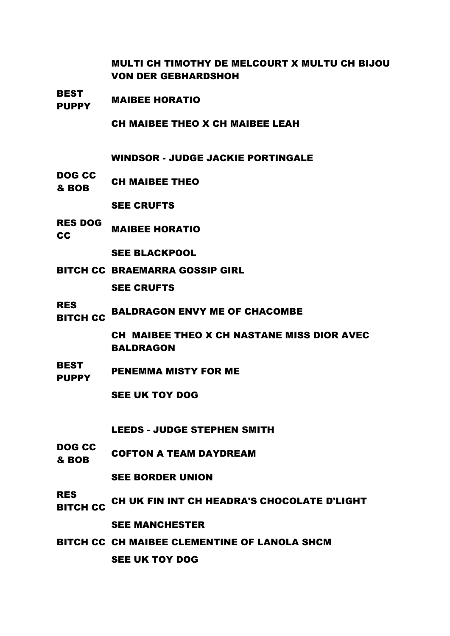MULTI CH TIMOTHY DE MELCOURT X MULTU CH BIJOU VON DER GEBHARDSHOH

BEST PUPPY MAIBEE HORATIO

CH MAIBEE THEO X CH MAIBEE LEAH

WINDSOR - JUDGE JACKIE PORTINGALE

DOG CC **& BOB** CH MAIBEE THEO

SEE CRUFTS

RES DOG **CC** MAIBEE HORATIO

SEE BLACKPOOL

BITCH CC BRAEMARRA GOSSIP GIRL

SEE CRUFTS

RES

..\_\_<br>BITCH CC BALDRAGON ENVY ME OF CHACOMBE

CH MAIBEE THEO X CH NASTANE MISS DIOR AVEC BALDRAGON

BEST PUPPY PENEMMA MISTY FOR ME

SEE UK TOY DOG

LEEDS - JUDGE STEPHEN SMITH

DOG CC **BOB COFTON A TEAM DAYDREAM** 

SEE BORDER UNION

- RES ..\_\_<br>BITCH CC CH UK FIN INT CH HEADRA'S CHOCOLATE D'LIGHT SEE MANCHESTER
- BITCH CC CH MAIBEE CLEMENTINE OF LANOLA SHCM SEE UK TOY DOG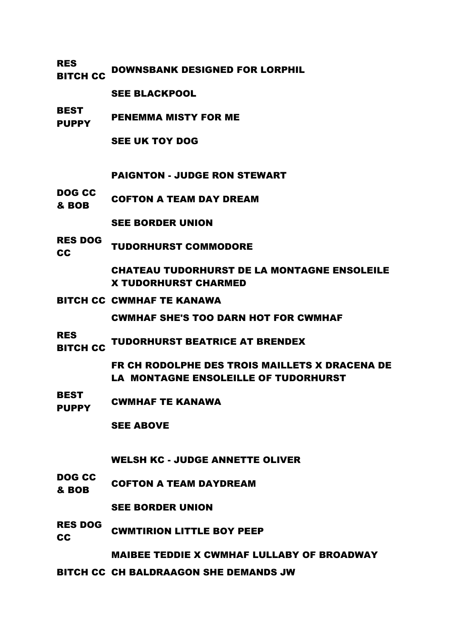RES ..\_\_<br>BITCH CC DOWNSBANK DESIGNED FOR LORPHIL

SEE BLACKPOOL

BEST PUPPY PENEMMA MISTY FOR ME

SEE UK TOY DOG

PAIGNTON - JUDGE RON STEWART

DOG CC **EVELOCE COFTON A TEAM DAY DREAM** 

SEE BORDER UNION

RES DOG **CC TUDORHURST COMMODORE** 

> CHATEAU TUDORHURST DE LA MONTAGNE ENSOLEILE X TUDORHURST CHARMED

BITCH CC CWMHAF TE KANAWA

CWMHAF SHE'S TOO DARN HOT FOR CWMHAF

RES .....<br>BITCH CC TUDORHURST BEATRICE AT BRENDEX

> FR CH RODOLPHE DES TROIS MAILLETS X DRACENA DE LA MONTAGNE ENSOLEILLE OF TUDORHURST

BEST PUPPY CWMHAF TE KANAWA

SEE ABOVE

WELSH KC - JUDGE ANNETTE OLIVER

DOG CC **BOB COFTON A TEAM DAYDREAM** 

SEE BORDER UNION

RES DOG CO CWMTIRION LITTLE BOY PEEP

MAIBEE TEDDIE X CWMHAF LULLABY OF BROADWAY

BITCH CC CH BALDRAAGON SHE DEMANDS JW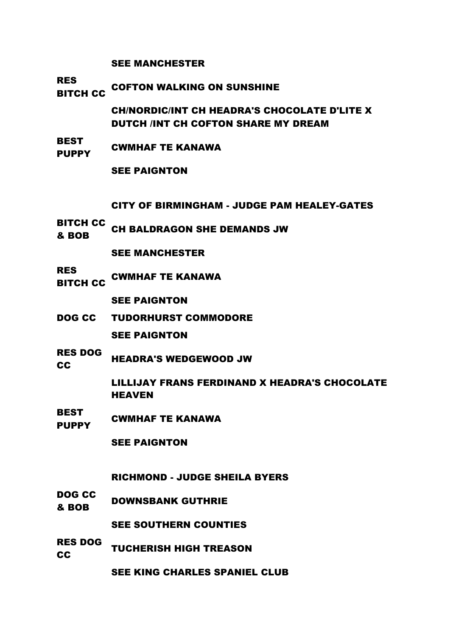SEE MANCHESTER

RES

**BITCH CC COFTON WALKING ON SUNSHINE** 

CH/NORDIC/INT CH HEADRA'S CHOCOLATE D'LITE X DUTCH /INT CH COFTON SHARE MY DREAM

BEST PUPPY CWMHAF TE KANAWA

SEE PAIGNTON

CITY OF BIRMINGHAM - JUDGE PAM HEALEY-GATES

BITCH CC **EXAMPLE CH BALDRAGON SHE DEMANDS JW**<br>& BOB

SEE MANCHESTER

RES BITCH CC CWMHAF TE KANAWA

SEE PAIGNTON

- DOG CC TUDORHURST COMMODORE SEE PAIGNTON
- RES DOG **CC HEADRA'S WEDGEWOOD JW**

LILLIJAY FRANS FERDINAND X HEADRA'S CHOCOLATE HEAVEN

**BEST** PUPPY CWMHAF TE KANAWA

SEE PAIGNTON

RICHMOND - JUDGE SHEILA BYERS

DOG CC **BOB DOWNSBANK GUTHRIE** 

SEE SOUTHERN COUNTIES

RES DOG TUCHERISH HIGH TREASON

SEE KING CHARLES SPANIEL CLUB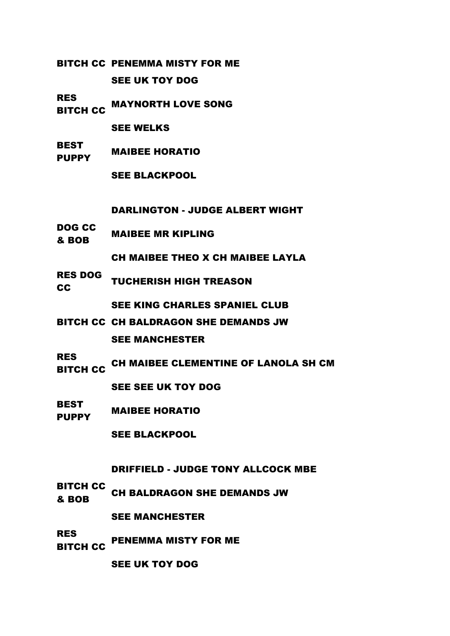BITCH CC PENEMMA MISTY FOR ME

SEE UK TOY DOG

RES ..\_\_<br>BITCH CC MAYNORTH LOVE SONG

SEE WELKS

**BEST** PUPPY MAIBEE HORATIO

SEE BLACKPOOL

DARLINGTON - JUDGE ALBERT WIGHT

DOG CC **BOB MAIBEE MR KIPLING** 

CH MAIBEE THEO X CH MAIBEE LAYLA

RES DOG **CC** TUCHERISH HIGH TREASON

SEE KING CHARLES SPANIEL CLUB

- BITCH CC CH BALDRAGON SHE DEMANDS JW SEE MANCHESTER
- RES ..\_\_<br>BITCH CC CH MAIBEE CLEMENTINE OF LANOLA SH CM

SEE SEE UK TOY DOG

BEST PLOT MAIBEE HORATIO

SEE BLACKPOOL

DRIFFIELD - JUDGE TONY ALLCOCK MBE

BITCH CC **BOB** CH BALDRAGON SHE DEMANDS JW

SEE MANCHESTER

RES .....<br>BITCH CC PENEMMA MISTY FOR ME

SEE UK TOY DOG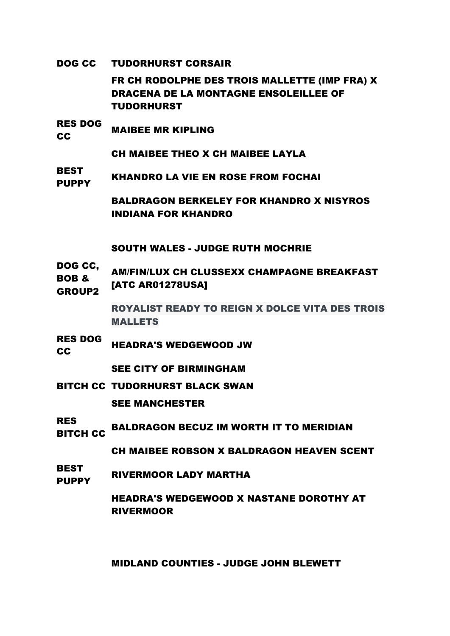DOG CC TUDORHURST CORSAIR

FR CH RODOLPHE DES TROIS MALLETTE (IMP FRA) X DRACENA DE LA MONTAGNE ENSOLEILLEE OF TUDORHURST

RES DOG **CC MAIBEE MR KIPLING** 

CH MAIBEE THEO X CH MAIBEE LAYLA

BEST PUPPY KHANDRO LA VIE EN ROSE FROM FOCHAI

> BALDRAGON BERKELEY FOR KHANDRO X NISYROS INDIANA FOR KHANDRO

SOUTH WALES - JUDGE RUTH MOCHRIE

DOG CC, BOB & GROUP2 AM/FIN/LUX CH CLUSSEXX CHAMPAGNE BREAKFAST [ATC AR01278USA]

> ROYALIST READY TO REIGN X DOLCE VITA DES TROIS MALLETS

RES DOG **CC HEADRA'S WEDGEWOOD JW** 

SEE CITY OF BIRMINGHAM

- BITCH CC TUDORHURST BLACK SWAN SEE MANCHESTER
- RES NLS<br>BITCH CC BALDRAGON BECUZ IM WORTH IT TO MERIDIAN

CH MAIBEE ROBSON X BALDRAGON HEAVEN SCENT

BEST PUPPY RIVERMOOR LADY MARTHA

> HEADRA'S WEDGEWOOD X NASTANE DOROTHY AT RIVERMOOR

MIDLAND COUNTIES - JUDGE JOHN BLEWETT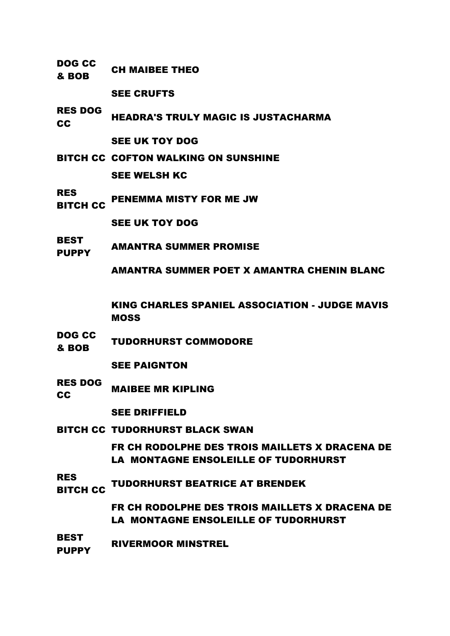**& BOB** CH MAIBEE THEO SEE CRUFTS RES DOG NEADRA'S TRULY MAGIC IS JUSTACHARMA SEE UK TOY DOG BITCH CC COFTON WALKING ON SUNSHINE SEE WELSH KC RES ..\_\_<br>BITCH CC PENEMMA MISTY FOR ME JW SEE UK TOY DOG BEST PUPPY AMANTRA SUMMER PROMISE AMANTRA SUMMER POET X AMANTRA CHENIN BLANC KING CHARLES SPANIEL ASSOCIATION - JUDGE MAVIS MOSS DOG CC **EXECUTE TUDORHURST COMMODORE** SEE PAIGNTON RES DOG **CC MAIBEE MR KIPLING** SEE DRIFFIELD BITCH CC TUDORHURST BLACK SWAN FR CH RODOLPHE DES TROIS MAILLETS X DRACENA DE LA MONTAGNE ENSOLEILLE OF TUDORHURST RES **NEXT CONTROLLER TUDORHURST BEATRICE AT BRENDEK** FR CH RODOLPHE DES TROIS MAILLETS X DRACENA DE LA MONTAGNE ENSOLEILLE OF TUDORHURST

DOG CC

BEST **PUPPY** RIVERMOOR MINSTREL